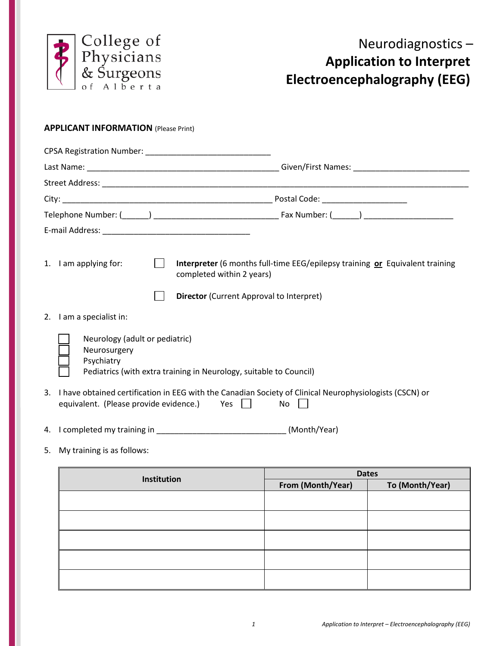

## **APPLICANT INFORMATION** (Please Print)

|                                                              | Postal Code: ______________________                                                                                                                          |
|--------------------------------------------------------------|--------------------------------------------------------------------------------------------------------------------------------------------------------------|
|                                                              |                                                                                                                                                              |
|                                                              |                                                                                                                                                              |
| 1. I am applying for:                                        | Interpreter (6 months full-time EEG/epilepsy training or Equivalent training<br>completed within 2 years)<br><b>Director</b> (Current Approval to Interpret) |
| I am a specialist in:<br>2.                                  |                                                                                                                                                              |
| Neurology (adult or pediatric)<br>Neurosurgery<br>Psychiatry | Pediatrics (with extra training in Neurology, suitable to Council)                                                                                           |
| 3.<br>equivalent. (Please provide evidence.) Yes             | I have obtained certification in EEG with the Canadian Society of Clinical Neurophysiologists (CSCN) or<br>No                                                |
|                                                              |                                                                                                                                                              |

- 4. I completed my training in \_\_\_\_\_\_\_\_\_\_\_\_\_\_\_\_\_\_\_\_\_\_\_\_\_\_\_\_\_ (Month/Year)
- 5. My training is as follows:

| Institution | <b>Dates</b>      |                 |  |
|-------------|-------------------|-----------------|--|
|             | From (Month/Year) | To (Month/Year) |  |
|             |                   |                 |  |
|             |                   |                 |  |
|             |                   |                 |  |
|             |                   |                 |  |
|             |                   |                 |  |